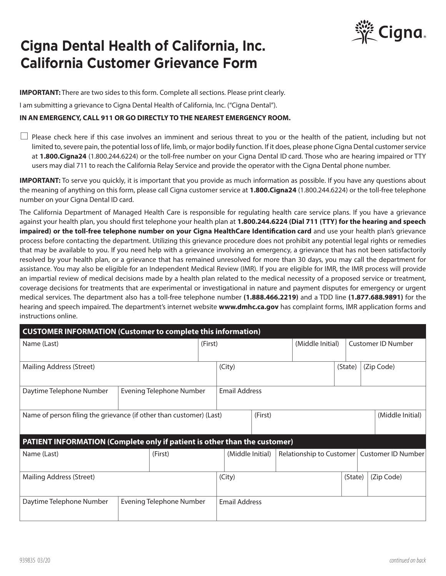

## **Cigna Dental Health of California, Inc. California Customer Grievance Form**

**IMPORTANT:** There are two sides to this form. Complete all sections. Please print clearly.

I am submitting a grievance to Cigna Dental Health of California, Inc. ("Cigna Dental").

## **IN AN EMERGENCY, CALL 911 OR GO DIRECTLY TO THE NEAREST EMERGENCY ROOM.**

 $\Box$  Please check here if this case involves an imminent and serious threat to you or the health of the patient, including but not limited to, severe pain, the potential loss of life, limb, or major bodily function. If it does, please phone Cigna Dental customer service at **1.800.Cigna24** (1.800.244.6224) or the toll-free number on your Cigna Dental ID card. Those who are hearing impaired or TTY users may dial 711 to reach the California Relay Service and provide the operator with the Cigna Dental phone number.

**IMPORTANT:** To serve you quickly, it is important that you provide as much information as possible. If you have any questions about the meaning of anything on this form, please call Cigna customer service at **1.800.Cigna24** (1.800.244.6224) or the toll-free telephone number on your Cigna Dental ID card.

The California Department of Managed Health Care is responsible for regulating health care service plans. If you have a grievance against your health plan, you should first telephone your health plan at **1.800.244.6224 (Dial 711 (TTY) for the hearing and speech impaired) or the toll-free telephone number on your Cigna HealthCare Identification card** and use your health plan's grievance process before contacting the department. Utilizing this grievance procedure does not prohibit any potential legal rights or remedies that may be available to you. If you need help with a grievance involving an emergency, a grievance that has not been satisfactorily resolved by your health plan, or a grievance that has remained unresolved for more than 30 days, you may call the department for assistance. You may also be eligible for an Independent Medical Review (IMR). If you are eligible for IMR, the IMR process will provide an impartial review of medical decisions made by a health plan related to the medical necessity of a proposed service or treatment, coverage decisions for treatments that are experimental or investigational in nature and payment disputes for emergency or urgent medical services. The department also has a toll-free telephone number **(1.888.466.2219)** and a TDD line **(1.877.688.9891)** for the hearing and speech impaired. The department's internet website **www.dmhc.ca.gov** has complaint forms, IMR application forms and instructions online.

| <b>CUSTOMER INFORMATION (Customer to complete this information)</b>              |                                 |         |                      |         |  |                          |         |                           |                           |
|----------------------------------------------------------------------------------|---------------------------------|---------|----------------------|---------|--|--------------------------|---------|---------------------------|---------------------------|
| Name (Last)                                                                      |                                 | (First) |                      |         |  | (Middle Initial)         |         |                           | <b>Customer ID Number</b> |
| Mailing Address (Street)                                                         |                                 |         | (City)               |         |  |                          | (State) |                           | (Zip Code)                |
| Daytime Telephone Number                                                         | <b>Evening Telephone Number</b> |         | <b>Email Address</b> |         |  |                          |         |                           |                           |
| Name of person filing the grievance (if other than customer) (Last)              |                                 |         |                      | (First) |  |                          |         |                           | (Middle Initial)          |
| <b>PATIENT INFORMATION (Complete only if patient is other than the customer)</b> |                                 |         |                      |         |  |                          |         |                           |                           |
| Name (Last)                                                                      | (First)                         |         | (Middle Initial)     |         |  | Relationship to Customer |         | <b>Customer ID Number</b> |                           |
| Mailing Address (Street)                                                         |                                 | (City)  |                      |         |  | (State)                  |         | (Zip Code)                |                           |
| Daytime Telephone Number                                                         | <b>Evening Telephone Number</b> |         | <b>Email Address</b> |         |  |                          |         |                           |                           |